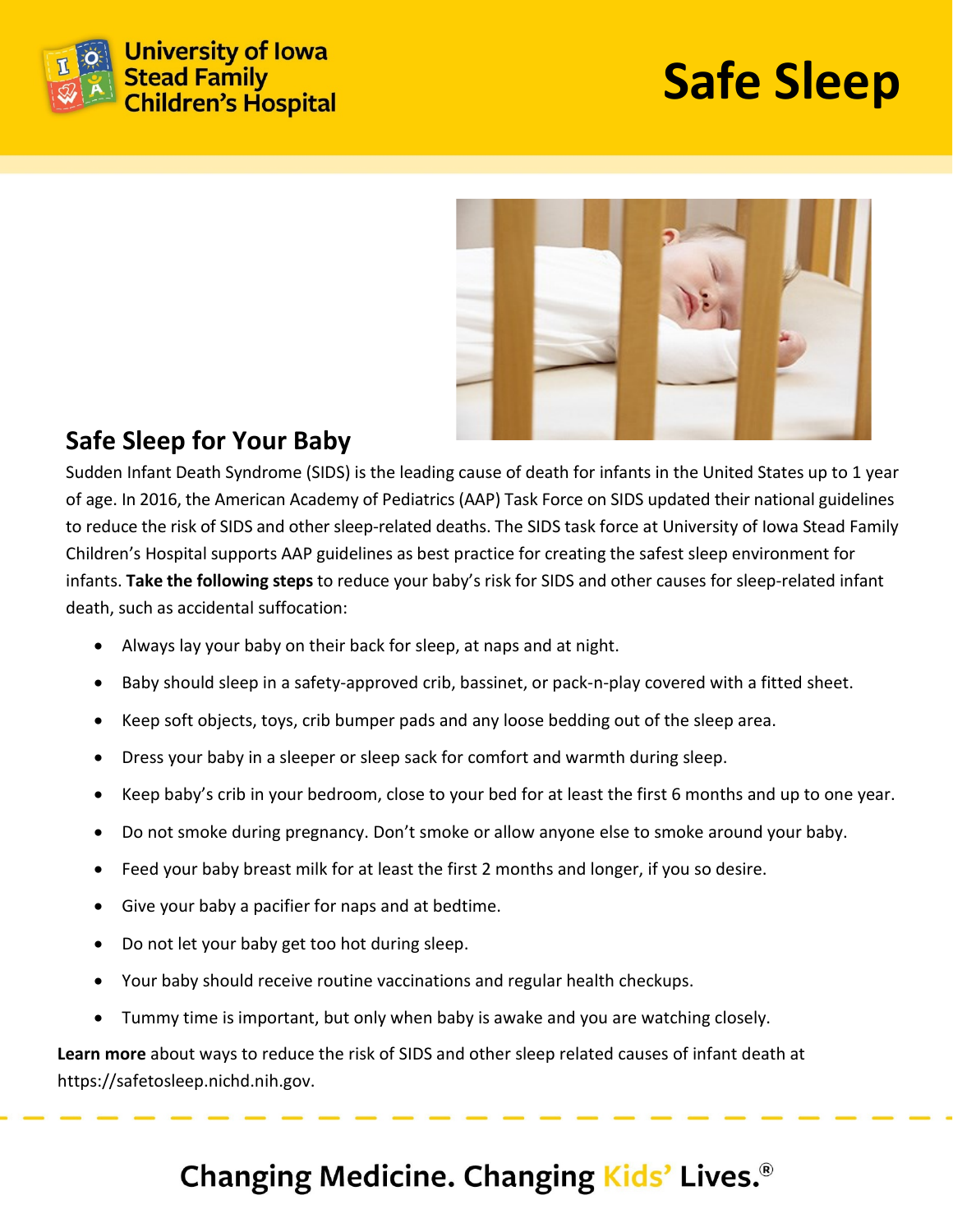

# **Safe Sleep**



#### **Safe Sleep for Your Baby**

Sudden Infant Death Syndrome (SIDS) is the leading cause of death for infants in the United States up to 1 year of age. In 2016, the American Academy of Pediatrics (AAP) Task Force on SIDS updated their national guidelines to reduce the risk of SIDS and other sleep-related deaths. The SIDS task force at University of Iowa Stead Family Children's Hospital supports AAP guidelines as best practice for creating the safest sleep environment for infants. **Take the following steps** to reduce your baby's risk for SIDS and other causes for sleep-related infant death, such as accidental suffocation:

- Always lay your baby on their back for sleep, at naps and at night.
- Baby should sleep in a safety-approved crib, bassinet, or pack-n-play covered with a fitted sheet.
- Keep soft objects, toys, crib bumper pads and any loose bedding out of the sleep area.
- Dress your baby in a sleeper or sleep sack for comfort and warmth during sleep.
- Keep baby's crib in your bedroom, close to your bed for at least the first 6 months and up to one year.
- Do not smoke during pregnancy. Don't smoke or allow anyone else to smoke around your baby.
- Feed your baby breast milk for at least the first 2 months and longer, if you so desire.
- Give your baby a pacifier for naps and at bedtime.
- Do not let your baby get too hot during sleep.
- Your baby should receive routine vaccinations and regular health checkups.
- Tummy time is important, but only when baby is awake and you are watching closely.

**Learn more** about ways to reduce the risk of SIDS and other sleep related causes of infant death at https://safetosleep.nichd.nih.gov.

### Changing Medicine. Changing Kids' Lives.<sup>®</sup>